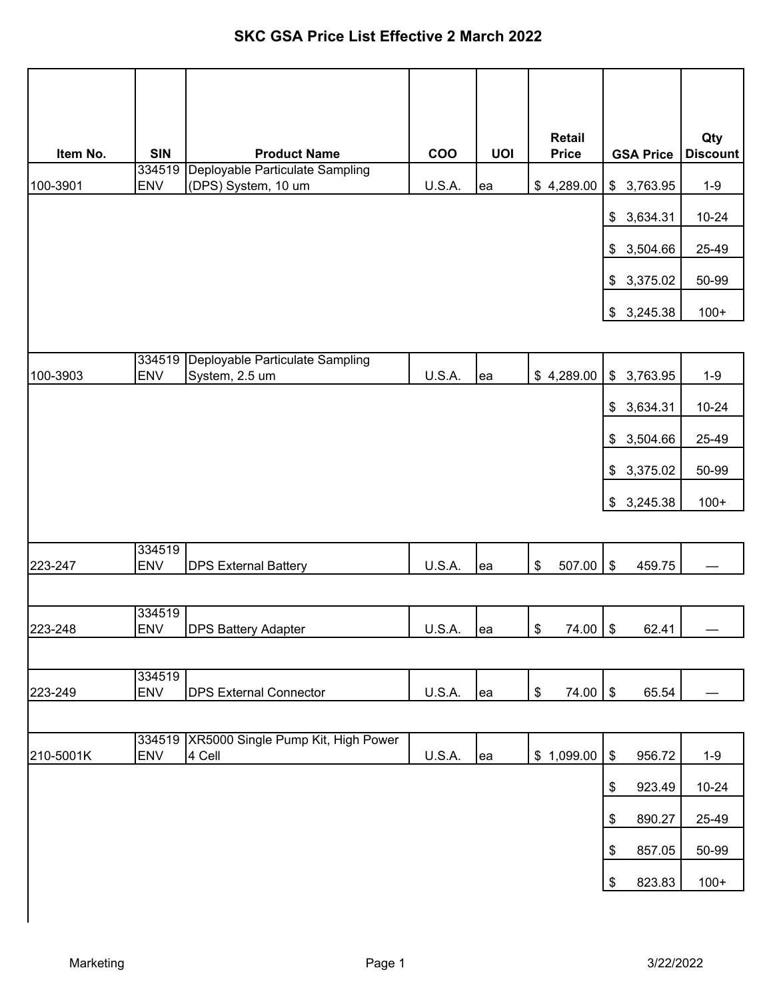## **SKC GSA Price List Effective 2 March 2022**

| Item No.  | <b>SIN</b>           | <b>Product Name</b>                                    | COO           | <b>UOI</b> | <b>Retail</b><br><b>Price</b>                         | <b>GSA Price</b>                     | Qty<br><b>Discount</b> |
|-----------|----------------------|--------------------------------------------------------|---------------|------------|-------------------------------------------------------|--------------------------------------|------------------------|
| 100-3901  | 334519<br><b>ENV</b> | Deployable Particulate Sampling<br>(DPS) System, 10 um | U.S.A.        | ea         | \$4,289.00                                            | 3,763.95<br>\$                       | $1-9$                  |
|           |                      |                                                        |               |            |                                                       |                                      | $10 - 24$              |
|           |                      |                                                        |               |            |                                                       | 3,634.31<br>\$                       |                        |
|           |                      |                                                        |               |            |                                                       | 3,504.66<br>\$                       | 25-49                  |
|           |                      |                                                        |               |            |                                                       | 3,375.02<br>\$                       | 50-99                  |
|           |                      |                                                        |               |            |                                                       | 3,245.38<br>\$                       | $100+$                 |
|           |                      |                                                        |               |            |                                                       |                                      |                        |
| 100-3903  | 334519<br><b>ENV</b> | Deployable Particulate Sampling<br>System, 2.5 um      | U.S.A.        | ea         | \$4,289.00                                            | \$<br>3,763.95                       | $1-9$                  |
|           |                      |                                                        |               |            |                                                       | 3,634.31<br>\$                       | $10 - 24$              |
|           |                      |                                                        |               |            |                                                       |                                      |                        |
|           |                      |                                                        |               |            |                                                       | 3,504.66<br>\$                       | 25-49                  |
|           |                      |                                                        |               |            |                                                       | 3,375.02<br>\$                       | 50-99                  |
|           |                      |                                                        |               |            |                                                       | 3,245.38<br>\$                       | $100+$                 |
|           |                      |                                                        |               |            |                                                       |                                      |                        |
| 223-247   | 334519<br><b>ENV</b> | <b>DPS External Battery</b>                            | U.S.A.        | ea         | \$<br>507.00                                          | $\boldsymbol{\mathsf{\$}}$<br>459.75 |                        |
|           |                      |                                                        |               |            |                                                       |                                      |                        |
| 223-248   | 334519<br><b>ENV</b> | <b>DPS Battery Adapter</b>                             | U.S.A.        |            |                                                       | 62.41                                |                        |
|           |                      |                                                        |               | ea         | $\sqrt{3}$<br>74.00 \$                                |                                      |                        |
|           | 334519               |                                                        |               |            |                                                       |                                      |                        |
| 223-249   | <b>ENV</b>           | <b>DPS External Connector</b>                          | U.S.A.        | lea        | $\, \, \raisebox{12pt}{$\scriptstyle \$}$<br>74.00 \$ | 65.54                                |                        |
|           |                      |                                                        |               |            |                                                       |                                      |                        |
| 210-5001K | <b>ENV</b>           | 334519 XR5000 Single Pump Kit, High Power<br>4 Cell    | <b>U.S.A.</b> | ea         | \$1,099.00                                            | \$<br>956.72                         | $1-9$                  |
|           |                      |                                                        |               |            |                                                       | 923.49<br>\$                         | $10 - 24$              |
|           |                      |                                                        |               |            |                                                       | 890.27<br>\$                         | 25-49                  |
|           |                      |                                                        |               |            |                                                       |                                      |                        |
|           |                      |                                                        |               |            |                                                       | \$<br>857.05                         | 50-99                  |
|           |                      |                                                        |               |            |                                                       | \$<br>823.83                         | $100+$                 |
|           |                      |                                                        |               |            |                                                       |                                      |                        |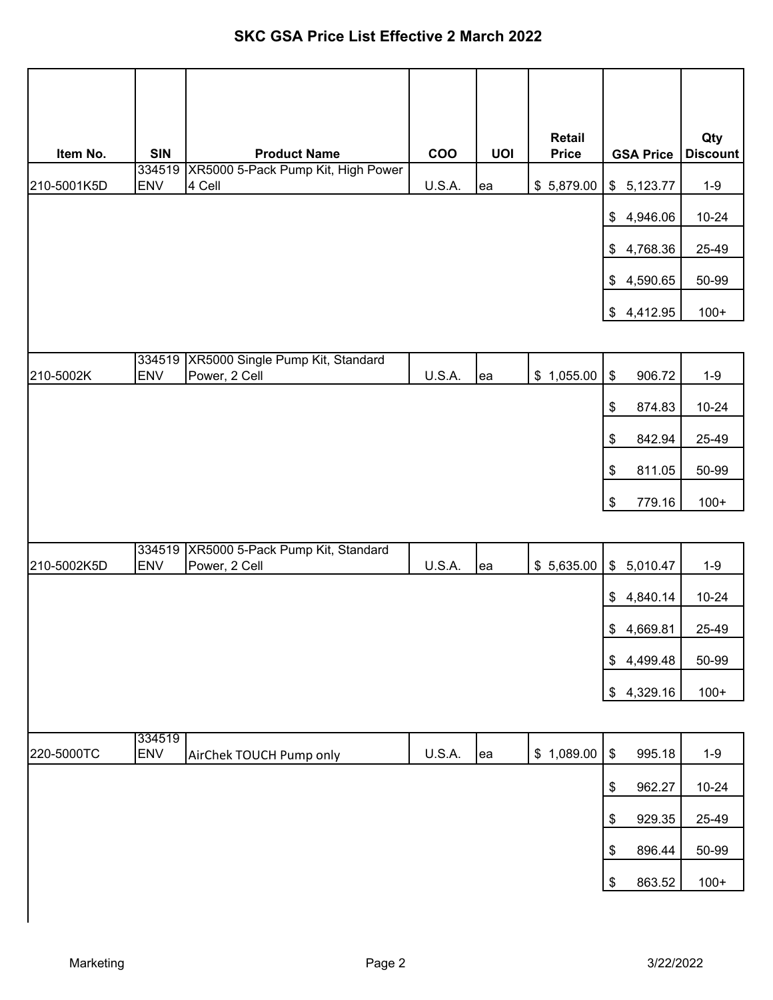| Item No.    | <b>SIN</b>           | <b>Product Name</b>                                      | COO           | <b>UOI</b> | <b>Retail</b><br><b>Price</b> | <b>GSA Price</b>                                    | Qty<br><b>Discount</b> |
|-------------|----------------------|----------------------------------------------------------|---------------|------------|-------------------------------|-----------------------------------------------------|------------------------|
| 210-5001K5D | 334519<br><b>ENV</b> | XR5000 5-Pack Pump Kit, High Power<br>4 Cell             | U.S.A.        |            | \$5,879.00                    | \$5,123.77                                          | $1-9$                  |
|             |                      |                                                          |               | ea         |                               |                                                     |                        |
|             |                      |                                                          |               |            |                               | 4,946.06<br>\$                                      | $10 - 24$              |
|             |                      |                                                          |               |            |                               | 4,768.36<br>$\frac{1}{2}$                           | 25-49                  |
|             |                      |                                                          |               |            |                               | 4,590.65<br>$\frac{1}{2}$                           | 50-99                  |
|             |                      |                                                          |               |            |                               | 4,412.95<br>\$                                      | $100+$                 |
|             | 334519               | XR5000 Single Pump Kit, Standard                         |               |            |                               |                                                     |                        |
| 210-5002K   | <b>ENV</b>           | Power, 2 Cell                                            | U.S.A.        | ea         | \$1,055.00                    | \$<br>906.72                                        | $1-9$                  |
|             |                      |                                                          |               |            |                               | \$<br>874.83                                        | $10 - 24$              |
|             |                      |                                                          |               |            |                               | \$<br>842.94                                        | 25-49                  |
|             |                      |                                                          |               |            |                               | 811.05<br>\$                                        | 50-99                  |
|             |                      |                                                          |               |            |                               | \$<br>779.16                                        | $100+$                 |
|             |                      |                                                          |               |            |                               |                                                     |                        |
| 210-5002K5D | <b>ENV</b>           | 334519 XR5000 5-Pack Pump Kit, Standard<br>Power, 2 Cell | <b>U.S.A.</b> | ea         | \$5,635.00                    | $\frac{1}{2}$<br>5,010.47                           | $1 - 9$                |
|             |                      |                                                          |               |            |                               | 4,840.14<br>$\frac{1}{2}$                           | $10 - 24$              |
|             |                      |                                                          |               |            |                               | \$4,669.81                                          | 25-49                  |
|             |                      |                                                          |               |            |                               | \$4,499.48                                          | 50-99                  |
|             |                      |                                                          |               |            |                               | \$4,329.16                                          | $100+$                 |
|             |                      |                                                          |               |            |                               |                                                     |                        |
| 220-5000TC  | 334519<br><b>ENV</b> | AirChek TOUCH Pump only                                  | U.S.A.        | ea         | \$1,089.00                    | $\, \, \raisebox{12pt}{$\scriptstyle \$}$<br>995.18 | $1 - 9$                |
|             |                      |                                                          |               |            |                               | \$<br>962.27                                        | $10 - 24$              |
|             |                      |                                                          |               |            |                               | 929.35<br>\$                                        | 25-49                  |
|             |                      |                                                          |               |            |                               | \$<br>896.44                                        | 50-99                  |
|             |                      |                                                          |               |            |                               | \$<br>863.52                                        | $100+$                 |
|             |                      |                                                          |               |            |                               |                                                     |                        |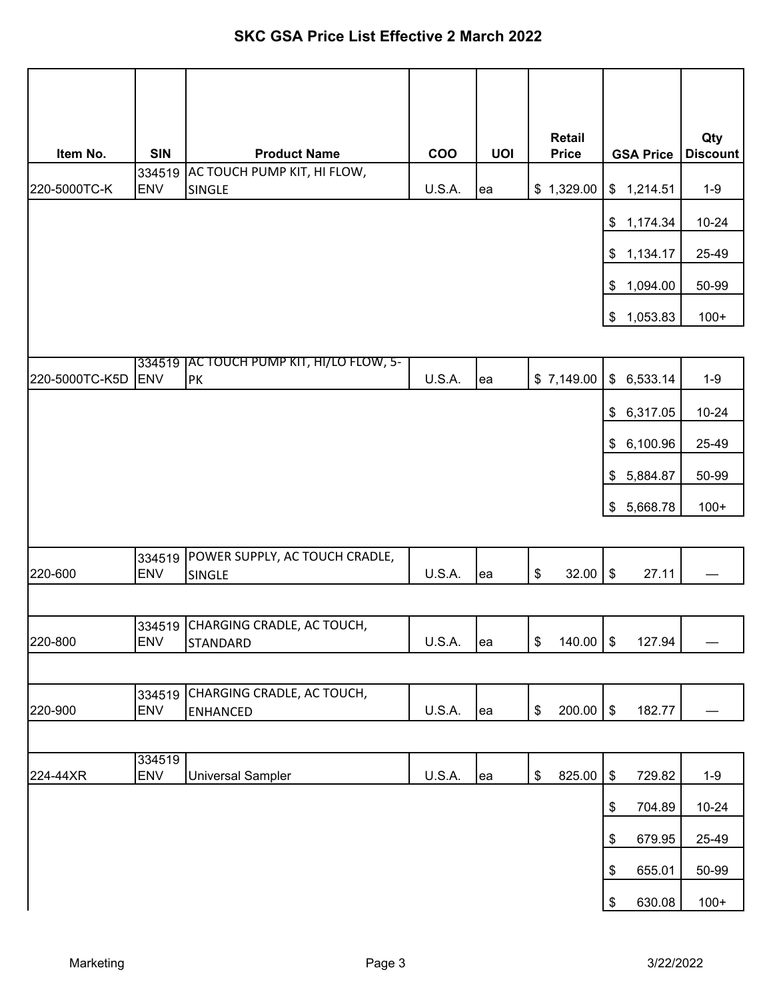|                |                      |                                                      |               |            | <b>Retail</b>       |                  | Qty             |
|----------------|----------------------|------------------------------------------------------|---------------|------------|---------------------|------------------|-----------------|
| Item No.       | <b>SIN</b>           | <b>Product Name</b>                                  | COO           | <b>UOI</b> | <b>Price</b>        | <b>GSA Price</b> | <b>Discount</b> |
| 220-5000TC-K   | 334519<br><b>ENV</b> | AC TOUCH PUMP KIT, HI FLOW,<br>SINGLE                | <b>U.S.A.</b> | ea         | \$1,329.00          | \$1,214.51       | $1-9$           |
|                |                      |                                                      |               |            |                     | \$1,174.34       | 10-24           |
|                |                      |                                                      |               |            |                     | \$1,134.17       | 25-49           |
|                |                      |                                                      |               |            |                     | \$1,094.00       | 50-99           |
|                |                      |                                                      |               |            |                     | \$1,053.83       | $100+$          |
|                | 334519               | <b>JAC TOUCH PUMP KIT, HI/LO FLOW, 5-</b>            |               |            |                     |                  |                 |
| 220-5000TC-K5D | <b>ENV</b>           | <b>PK</b>                                            | U.S.A.        | ea         | \$7,149.00          | \$6,533.14       | $1-9$           |
|                |                      |                                                      |               |            |                     | \$6,317.05       | $10 - 24$       |
|                |                      |                                                      |               |            |                     | \$6,100.96       | 25-49           |
|                |                      |                                                      |               |            |                     | \$5,884.87       | 50-99           |
|                |                      |                                                      |               |            |                     | \$5,668.78       | $100+$          |
|                |                      |                                                      |               |            |                     |                  |                 |
| 220-600        | 334519<br><b>ENV</b> | POWER SUPPLY, AC TOUCH CRADLE,<br><b>SINGLE</b>      | U.S.A.        | ea         | \$<br>32.00         | \$<br>27.11      |                 |
|                |                      |                                                      |               |            |                     |                  |                 |
| 220-800        | <b>ENV</b>           | 334519 CHARGING CRADLE, AC TOUCH,<br><b>STANDARD</b> | <b>U.S.A.</b> | ea         | \$<br>$140.00$ \ \$ | 127.94           |                 |
|                |                      |                                                      |               |            |                     |                  |                 |
| 220-900        | 334519<br><b>ENV</b> | CHARGING CRADLE, AC TOUCH,<br><b>ENHANCED</b>        | <b>U.S.A.</b> | ea         | \$<br>200.00        | $\,$<br>182.77   |                 |
|                |                      |                                                      |               |            |                     |                  |                 |
|                | 334519               |                                                      |               |            |                     |                  |                 |
| 224-44XR       | <b>ENV</b>           | <b>Universal Sampler</b>                             | U.S.A.        | ea         | \$<br>825.00        | \$<br>729.82     | $1 - 9$         |
|                |                      |                                                      |               |            |                     | \$<br>704.89     | $10 - 24$       |
|                |                      |                                                      |               |            |                     | 679.95<br>\$     | 25-49           |
|                |                      |                                                      |               |            |                     | \$<br>655.01     | 50-99           |
|                |                      |                                                      |               |            |                     | \$<br>630.08     | $100+$          |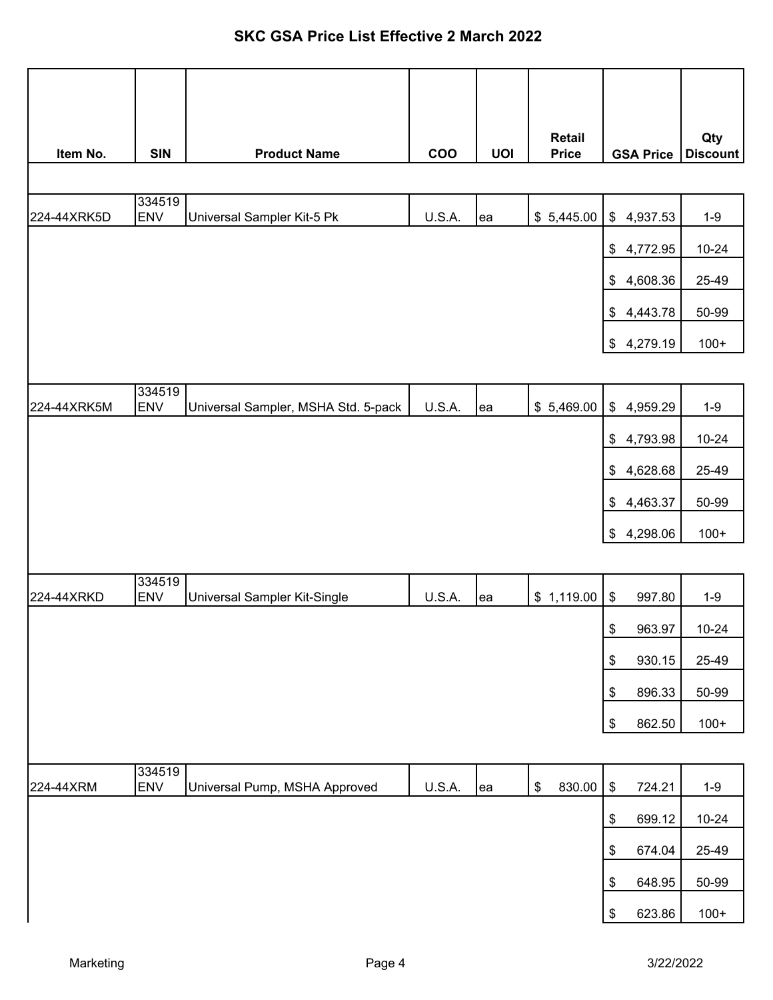| Item No.    | <b>SIN</b>           | <b>Product Name</b>                 | <b>COO</b>    | <b>UOI</b> | <b>Retail</b><br><b>Price</b> | <b>GSA Price</b>                                    | Qty<br><b>Discount</b> |
|-------------|----------------------|-------------------------------------|---------------|------------|-------------------------------|-----------------------------------------------------|------------------------|
|             |                      |                                     |               |            |                               |                                                     |                        |
| 224-44XRK5D | 334519<br><b>ENV</b> | Universal Sampler Kit-5 Pk          | <b>U.S.A.</b> | ea         | \$5,445.00                    | $\frac{1}{2}$<br>4,937.53                           | $1-9$                  |
|             |                      |                                     |               |            |                               | \$4,772.95                                          | $10 - 24$              |
|             |                      |                                     |               |            |                               | 4,608.36<br>\$                                      | 25-49                  |
|             |                      |                                     |               |            |                               | 4,443.78<br>$\frac{1}{2}$                           | 50-99                  |
|             |                      |                                     |               |            |                               | \$4,279.19                                          | $100+$                 |
|             |                      |                                     |               |            |                               |                                                     |                        |
| 224-44XRK5M | 334519<br><b>ENV</b> | Universal Sampler, MSHA Std. 5-pack | U.S.A.        | ea         | \$5,469.00                    | \$4,959.29                                          | $1 - 9$                |
|             |                      |                                     |               |            |                               | \$<br>4,793.98                                      | $10 - 24$              |
|             |                      |                                     |               |            |                               | \$<br>4,628.68                                      | 25-49                  |
|             |                      |                                     |               |            |                               | 4,463.37<br>\$                                      | 50-99                  |
|             |                      |                                     |               |            |                               | 4,298.06<br>\$                                      | $100+$                 |
|             |                      |                                     |               |            |                               |                                                     |                        |
| 224-44XRKD  | 334519<br><b>ENV</b> | Universal Sampler Kit-Single        | <b>U.S.A.</b> | ea         | \$1,119.00                    | \$<br>997.80                                        | $1-9$                  |
|             |                      |                                     |               |            |                               | $\,$<br>963.97                                      | $10 - 24$              |
|             |                      |                                     |               |            |                               | 930.15<br>\$                                        | 25-49                  |
|             |                      |                                     |               |            |                               | \$<br>896.33                                        | 50-99                  |
|             |                      |                                     |               |            |                               | \$<br>862.50                                        | $100+$                 |
|             |                      |                                     |               |            |                               |                                                     |                        |
| 224-44XRM   | 334519<br><b>ENV</b> | Universal Pump, MSHA Approved       | U.S.A.        | ea         | \$<br>830.00                  | $\, \, \raisebox{12pt}{$\scriptstyle \$}$<br>724.21 | $1-9$                  |
|             |                      |                                     |               |            |                               | $\boldsymbol{\$}$<br>699.12                         | $10 - 24$              |
|             |                      |                                     |               |            |                               | $\boldsymbol{\$}$<br>674.04                         | 25-49                  |
|             |                      |                                     |               |            |                               | \$<br>648.95                                        | 50-99                  |
|             |                      |                                     |               |            |                               | $\, \, \raisebox{12pt}{$\scriptstyle \$}$<br>623.86 | $100+$                 |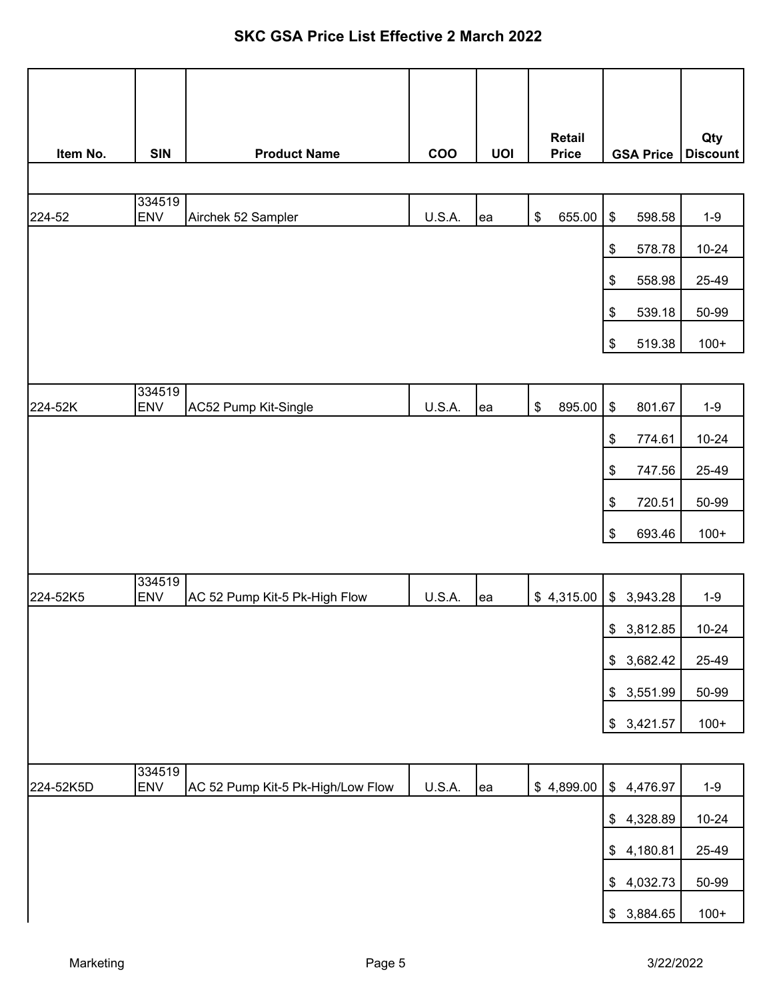| Item No.  | <b>SIN</b>           | <b>Product Name</b>               | <b>COO</b> | <b>UOI</b> | <b>Retail</b><br><b>Price</b> | <b>GSA Price</b> | Qty<br><b>Discount</b> |
|-----------|----------------------|-----------------------------------|------------|------------|-------------------------------|------------------|------------------------|
|           |                      |                                   |            |            |                               |                  |                        |
| 224-52    | 334519<br><b>ENV</b> | Airchek 52 Sampler                | U.S.A.     | lea        | \$<br>655.00                  | \$<br>598.58     | $1-9$                  |
|           |                      |                                   |            |            |                               | 578.78<br>\$     | $10 - 24$              |
|           |                      |                                   |            |            |                               | \$<br>558.98     | 25-49                  |
|           |                      |                                   |            |            |                               | \$<br>539.18     | 50-99                  |
|           |                      |                                   |            |            |                               | \$<br>519.38     | $100+$                 |
|           |                      |                                   |            |            |                               |                  |                        |
| 224-52K   | 334519<br><b>ENV</b> | AC52 Pump Kit-Single              | U.S.A.     | lea        | \$<br>895.00                  | \$<br>801.67     | $1-9$                  |
|           |                      |                                   |            |            |                               | \$<br>774.61     | $10 - 24$              |
|           |                      |                                   |            |            |                               | \$<br>747.56     | 25-49                  |
|           |                      |                                   |            |            |                               | \$<br>720.51     | 50-99                  |
|           |                      |                                   |            |            |                               | \$<br>693.46     | $100+$                 |
|           |                      |                                   |            |            |                               |                  |                        |
| 224-52K5  | 334519<br><b>ENV</b> | AC 52 Pump Kit-5 Pk-High Flow     | U.S.A.     | ea         | \$4,315.00                    | \$3,943.28       | $1-9$                  |
|           |                      |                                   |            |            |                               | \$3,812.85       | $10 - 24$              |
|           |                      |                                   |            |            |                               | \$3,682.42       | 25-49                  |
|           |                      |                                   |            |            |                               | \$3,551.99       | 50-99                  |
|           |                      |                                   |            |            |                               | \$3,421.57       | $100+$                 |
|           |                      |                                   |            |            |                               |                  |                        |
| 224-52K5D | 334519<br><b>ENV</b> | AC 52 Pump Kit-5 Pk-High/Low Flow | U.S.A.     | lea        | \$4,899.00                    | \$4,476.97       | $1 - 9$                |
|           |                      |                                   |            |            |                               | \$4,328.89       | $10 - 24$              |
|           |                      |                                   |            |            |                               | \$4,180.81       | 25-49                  |
|           |                      |                                   |            |            |                               | 4,032.73<br>\$   | 50-99                  |
|           |                      |                                   |            |            |                               | \$3,884.65       | $100+$                 |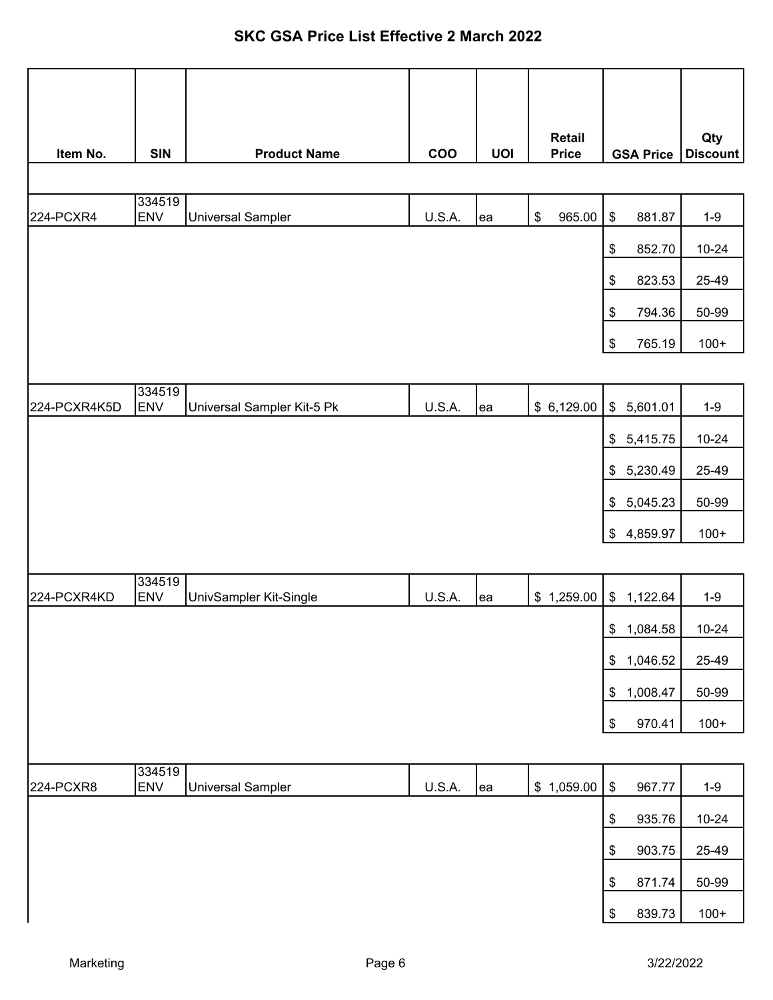|              |                      |                            |               |            | <b>Retail</b> |                                                     | Qty             |
|--------------|----------------------|----------------------------|---------------|------------|---------------|-----------------------------------------------------|-----------------|
| Item No.     | <b>SIN</b>           | <b>Product Name</b>        | <b>COO</b>    | <b>UOI</b> | <b>Price</b>  | <b>GSA Price</b>                                    | <b>Discount</b> |
|              | 334519               |                            |               |            |               |                                                     |                 |
| 224-PCXR4    | <b>ENV</b>           | <b>Universal Sampler</b>   | <b>U.S.A.</b> | ea         | \$<br>965.00  | $\, \, \raisebox{12pt}{$\scriptstyle \$}$<br>881.87 | $1 - 9$         |
|              |                      |                            |               |            |               | 852.70<br>\$                                        | $10 - 24$       |
|              |                      |                            |               |            |               | \$<br>823.53                                        | 25-49           |
|              |                      |                            |               |            |               | $\boldsymbol{\mathsf{\$}}$<br>794.36                | 50-99           |
|              |                      |                            |               |            |               | $\, \, \raisebox{12pt}{$\scriptstyle \$}$<br>765.19 | $100+$          |
|              |                      |                            |               |            |               |                                                     |                 |
| 224-PCXR4K5D | 334519<br><b>ENV</b> | Universal Sampler Kit-5 Pk | U.S.A.        | ea         | \$6,129.00    | \$5,601.01                                          | $1-9$           |
|              |                      |                            |               |            |               | \$5,415.75                                          | $10 - 24$       |
|              |                      |                            |               |            |               | \$5,230.49                                          | 25-49           |
|              |                      |                            |               |            |               | 5,045.23<br>$\frac{1}{2}$                           | 50-99           |
|              |                      |                            |               |            |               | \$4,859.97                                          | $100+$          |
|              |                      |                            |               |            |               |                                                     |                 |
| 224-PCXR4KD  | 334519<br><b>ENV</b> | UnivSampler Kit-Single     | <b>U.S.A.</b> | ea         | \$1,259.00    | \$1,122.64                                          | $1-9$           |
|              |                      |                            |               |            |               | \$1,084.58                                          | $10 - 24$       |
|              |                      |                            |               |            |               | 1,046.52<br>\$                                      | 25-49           |
|              |                      |                            |               |            |               | 1,008.47<br>\$                                      | 50-99           |
|              |                      |                            |               |            |               | \$<br>970.41                                        | $100+$          |
|              |                      |                            |               |            |               |                                                     |                 |
| 224-PCXR8    | 334519<br><b>ENV</b> | <b>Universal Sampler</b>   | U.S.A.        | ea         | \$1,059.00    | $\, \, \raisebox{12pt}{$\scriptstyle \$}$<br>967.77 | $1 - 9$         |
|              |                      |                            |               |            |               | \$<br>935.76                                        | $10 - 24$       |
|              |                      |                            |               |            |               | $\boldsymbol{\mathsf{\$}}$<br>903.75                | 25-49           |
|              |                      |                            |               |            |               | 871.74<br>\$                                        | 50-99           |
|              |                      |                            |               |            |               | \$<br>839.73                                        | $100+$          |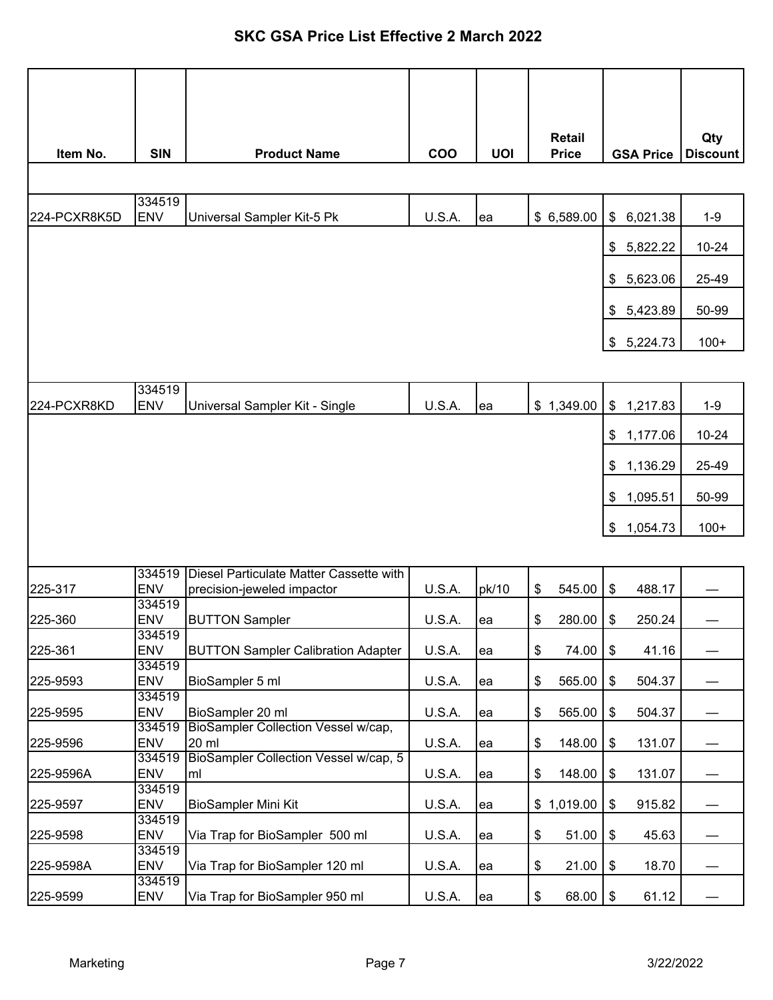|              |                      |                                                     |               |            | <b>Retail</b> |                  | Qty             |
|--------------|----------------------|-----------------------------------------------------|---------------|------------|---------------|------------------|-----------------|
| Item No.     | <b>SIN</b>           | <b>Product Name</b>                                 | <b>COO</b>    | <b>UOI</b> | <b>Price</b>  | <b>GSA Price</b> | <b>Discount</b> |
|              |                      |                                                     |               |            |               |                  |                 |
| 224-PCXR8K5D | 334519<br><b>ENV</b> | Universal Sampler Kit-5 Pk                          | U.S.A.        | ea         | \$6,589.00    | 6,021.38<br>\$   | $1-9$           |
|              |                      |                                                     |               |            |               | 5,822.22<br>\$   | 10-24           |
|              |                      |                                                     |               |            |               |                  | 25-49           |
|              |                      |                                                     |               |            |               | 5,623.06<br>\$   |                 |
|              |                      |                                                     |               |            |               | \$5,423.89       | 50-99           |
|              |                      |                                                     |               |            |               | \$5,224.73       | $100+$          |
|              |                      |                                                     |               |            |               |                  |                 |
| 224-PCXR8KD  | 334519<br><b>ENV</b> | Universal Sampler Kit - Single                      | U.S.A.        | ea         | \$1,349.00    | \$<br>1,217.83   | $1-9$           |
|              |                      |                                                     |               |            |               | 1,177.06<br>\$   | 10-24           |
|              |                      |                                                     |               |            |               | 1,136.29<br>\$   | 25-49           |
|              |                      |                                                     |               |            |               | 1,095.51<br>\$   | 50-99           |
|              |                      |                                                     |               |            |               | \$<br>1,054.73   | $100+$          |
|              |                      |                                                     |               |            |               |                  |                 |
|              | 334519               | Diesel Particulate Matter Cassette with             |               |            |               |                  |                 |
| 225-317      | <b>ENV</b>           | precision-jeweled impactor                          | U.S.A.        | pk/10      | \$<br>545.00  | \$<br>488.17     |                 |
| 225-360      | 334519<br><b>ENV</b> | <b>BUTTON Sampler</b>                               | U.S.A.        | ea         | \$<br>280.00  | \$<br>250.24     |                 |
| 225-361      | 334519<br><b>ENV</b> | <b>BUTTON Sampler Calibration Adapter</b>           | U.S.A.        | ea         | 74.00<br>\$   | \$<br>41.16      |                 |
|              | 334519               |                                                     |               |            |               |                  |                 |
| 225-9593     | ENV<br>334519        | BioSampler 5 ml                                     | U.S.A.        | ea         | 565.00<br>\$  | \$<br>504.37     |                 |
| 225-9595     | <b>ENV</b>           | BioSampler 20 ml                                    | U.S.A.        | ea         | 565.00<br>\$  | \$<br>504.37     |                 |
| 225-9596     | 334519<br><b>ENV</b> | <b>BioSampler Collection Vessel w/cap,</b><br>20 ml | <b>U.S.A.</b> | ea         | 148.00<br>\$  | \$<br>131.07     |                 |
|              | 334519               | BioSampler Collection Vessel w/cap, 5               |               |            |               |                  |                 |
| 225-9596A    | <b>ENV</b><br>334519 | ml                                                  | U.S.A.        | ea         | \$<br>148.00  | \$<br>131.07     |                 |
| 225-9597     | <b>ENV</b>           | BioSampler Mini Kit                                 | U.S.A.        | ea         | \$1,019.00    | \$<br>915.82     |                 |
| 225-9598     | 334519<br><b>ENV</b> | Via Trap for BioSampler 500 ml                      | U.S.A.        | ea         | \$<br>51.00   | \$<br>45.63      |                 |
| 225-9598A    | 334519<br><b>ENV</b> | Via Trap for BioSampler 120 ml                      | U.S.A.        | ea         | \$<br>21.00   | \$<br>18.70      |                 |
| 225-9599     | 334519<br><b>ENV</b> | Via Trap for BioSampler 950 ml                      | U.S.A.        | lea        | \$<br>68.00   | \$<br>61.12      |                 |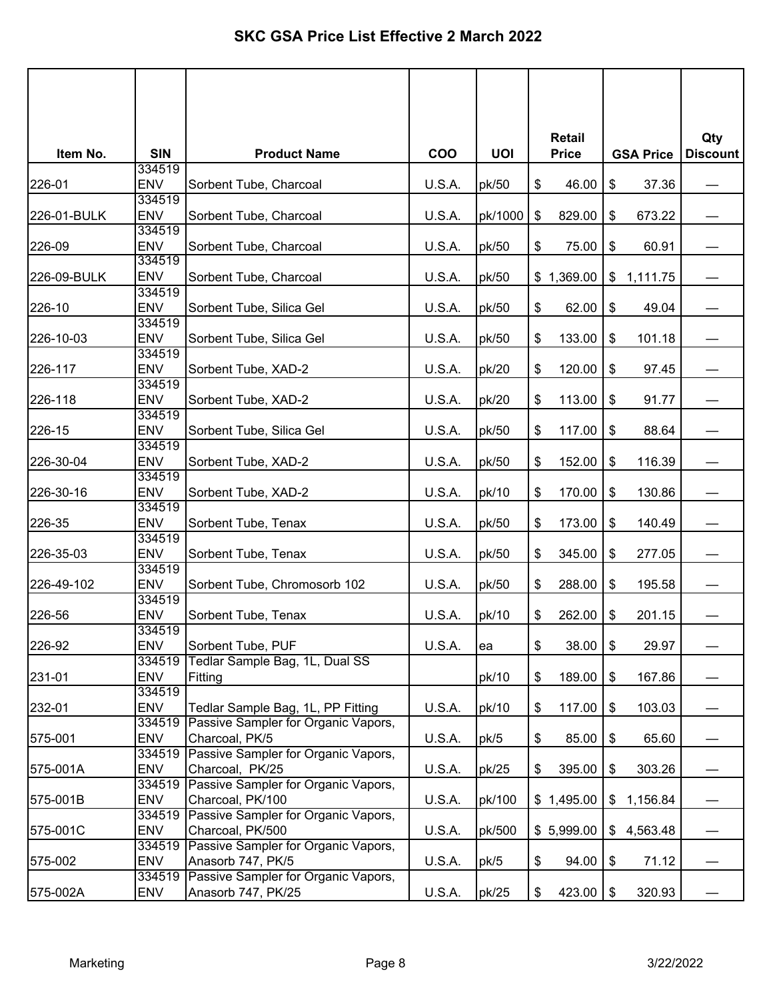|             |                      |                                                           |            |            | <b>Retail</b> |                  | Qty             |
|-------------|----------------------|-----------------------------------------------------------|------------|------------|---------------|------------------|-----------------|
| Item No.    | <b>SIN</b>           | <b>Product Name</b>                                       | <b>COO</b> | <b>UOI</b> | <b>Price</b>  | <b>GSA Price</b> | <b>Discount</b> |
|             | 334519               |                                                           |            |            |               |                  |                 |
| 226-01      | <b>ENV</b><br>334519 | Sorbent Tube, Charcoal                                    | U.S.A.     | pk/50      | \$<br>46.00   | \$<br>37.36      |                 |
| 226-01-BULK | <b>ENV</b>           | Sorbent Tube, Charcoal                                    | U.S.A.     | pk/1000    | \$<br>829.00  | \$<br>673.22     |                 |
|             | 334519               |                                                           |            |            |               |                  |                 |
| 226-09      | <b>ENV</b>           | Sorbent Tube, Charcoal                                    | U.S.A.     | pk/50      | \$<br>75.00   | \$<br>60.91      |                 |
|             | 334519               |                                                           |            |            |               |                  |                 |
| 226-09-BULK | <b>ENV</b>           | Sorbent Tube, Charcoal                                    | U.S.A.     | pk/50      | \$1,369.00    | \$1,111.75       |                 |
|             | 334519               |                                                           |            |            |               |                  |                 |
| 226-10      | <b>ENV</b>           | Sorbent Tube, Silica Gel                                  | U.S.A.     | pk/50      | \$<br>62.00   | \$<br>49.04      |                 |
|             | 334519               |                                                           |            |            |               |                  |                 |
| 226-10-03   | <b>ENV</b><br>334519 | Sorbent Tube, Silica Gel                                  | U.S.A.     | pk/50      | \$<br>133.00  | \$<br>101.18     |                 |
| 226-117     | <b>ENV</b>           | Sorbent Tube, XAD-2                                       | U.S.A.     | pk/20      | \$<br>120.00  | \$<br>97.45      |                 |
|             | 334519               |                                                           |            |            |               |                  |                 |
| 226-118     | <b>ENV</b>           | Sorbent Tube, XAD-2                                       | U.S.A.     | pk/20      | \$<br>113.00  | \$<br>91.77      |                 |
|             | 334519               |                                                           |            |            |               |                  |                 |
| 226-15      | <b>ENV</b>           | Sorbent Tube, Silica Gel                                  | U.S.A.     | pk/50      | \$<br>117.00  | \$<br>88.64      |                 |
|             | 334519               |                                                           |            |            |               |                  |                 |
| 226-30-04   | <b>ENV</b>           | Sorbent Tube, XAD-2                                       | U.S.A.     | pk/50      | \$<br>152.00  | \$<br>116.39     |                 |
|             | 334519               |                                                           |            |            |               |                  |                 |
| 226-30-16   | <b>ENV</b>           | Sorbent Tube, XAD-2                                       | U.S.A.     | pk/10      | \$<br>170.00  | \$<br>130.86     |                 |
|             | 334519<br><b>ENV</b> |                                                           |            |            |               |                  |                 |
| 226-35      | 334519               | Sorbent Tube, Tenax                                       | U.S.A.     | pk/50      | \$<br>173.00  | \$<br>140.49     |                 |
| 226-35-03   | <b>ENV</b>           | Sorbent Tube, Tenax                                       | U.S.A.     | pk/50      | \$<br>345.00  | \$<br>277.05     |                 |
|             | 334519               |                                                           |            |            |               |                  |                 |
| 226-49-102  | <b>ENV</b>           | Sorbent Tube, Chromosorb 102                              | U.S.A.     | pk/50      | \$<br>288.00  | \$<br>195.58     |                 |
|             | 334519               |                                                           |            |            |               |                  |                 |
| 226-56      | <b>ENV</b>           | Sorbent Tube, Tenax                                       | U.S.A.     | pk/10      | \$<br>262.00  | \$<br>201.15     |                 |
|             | 334519               |                                                           |            |            |               |                  |                 |
| 226-92      | <b>ENV</b>           | Sorbent Tube, PUF                                         | U.S.A.     | lea        | \$<br>38.00   | \$<br>29.97      |                 |
|             | 334519               | Tedlar Sample Bag, 1L, Dual SS                            |            |            |               |                  |                 |
| 231-01      | <b>ENV</b>           | Fitting                                                   |            | pk/10      | \$<br>189.00  | \$<br>167.86     |                 |
| 232-01      | 334519<br><b>ENV</b> | Tedlar Sample Bag, 1L, PP Fitting                         | U.S.A.     | pk/10      | 117.00        |                  |                 |
|             | 334519               | Passive Sampler for Organic Vapors,                       |            |            | \$            | \$<br>103.03     |                 |
| 575-001     | <b>ENV</b>           | Charcoal, PK/5                                            | U.S.A.     | pk/5       | \$<br>85.00   | \$<br>65.60      |                 |
|             | 334519               | Passive Sampler for Organic Vapors,                       |            |            |               |                  |                 |
| 575-001A    | <b>ENV</b>           | Charcoal, PK/25                                           | U.S.A.     | pk/25      | \$<br>395.00  | \$<br>303.26     |                 |
|             | 334519               | Passive Sampler for Organic Vapors,                       |            |            |               |                  |                 |
| 575-001B    | <b>ENV</b>           | Charcoal, PK/100                                          | U.S.A.     | pk/100     | \$1,495.00    | \$<br>1,156.84   |                 |
|             | 334519               | Passive Sampler for Organic Vapors,                       |            |            |               |                  |                 |
| 575-001C    | <b>ENV</b>           | Charcoal, PK/500                                          | U.S.A.     | pk/500     | \$5,999.00    | \$4,563.48       |                 |
|             | 334519               | Passive Sampler for Organic Vapors,                       |            |            |               |                  |                 |
| 575-002     | <b>ENV</b>           | Anasorb 747, PK/5                                         | U.S.A.     | pk/5       | \$<br>94.00   | \$<br>71.12      |                 |
| 575-002A    | 334519<br><b>ENV</b> | Passive Sampler for Organic Vapors,<br>Anasorb 747, PK/25 | U.S.A.     | pk/25      | \$            | \$<br>320.93     |                 |
|             |                      |                                                           |            |            | 423.00        |                  |                 |